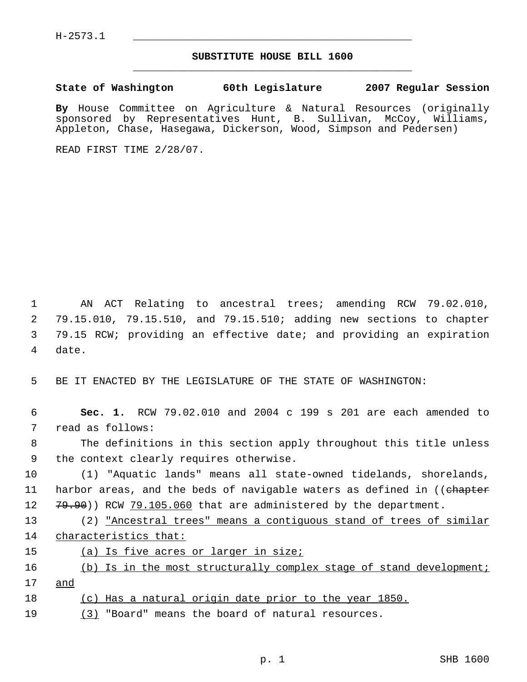## **SUBSTITUTE HOUSE BILL 1600** \_\_\_\_\_\_\_\_\_\_\_\_\_\_\_\_\_\_\_\_\_\_\_\_\_\_\_\_\_\_\_\_\_\_\_\_\_\_\_\_\_\_\_\_\_

**State of Washington 60th Legislature 2007 Regular Session**

**By** House Committee on Agriculture & Natural Resources (originally sponsored by Representatives Hunt, B. Sullivan, McCoy, Williams, Appleton, Chase, Hasegawa, Dickerson, Wood, Simpson and Pedersen)

READ FIRST TIME 2/28/07.

 AN ACT Relating to ancestral trees; amending RCW 79.02.010, 79.15.010, 79.15.510, and 79.15.510; adding new sections to chapter 79.15 RCW; providing an effective date; and providing an expiration 4 date.

5 BE IT ENACTED BY THE LEGISLATURE OF THE STATE OF WASHINGTON:

 **Sec. 1.** RCW 79.02.010 and 2004 c 199 s 201 are each amended to read as follows: The definitions in this section apply throughout this title unless the context clearly requires otherwise. (1) "Aquatic lands" means all state-owned tidelands, shorelands, 11 harbor areas, and the beds of navigable waters as defined in ((ehapter 12 79.90)) RCW 79.105.060 that are administered by the department. 13 (2) <u>"Ancestral trees" means a contiguous stand of trees of similar</u> characteristics that:

15 (a) Is five acres or larger in size;

16 (b) Is in the most structurally complex stage of stand development; 17 and

18 (c) Has a natural origin date prior to the year 1850.

19 (3) "Board" means the board of natural resources.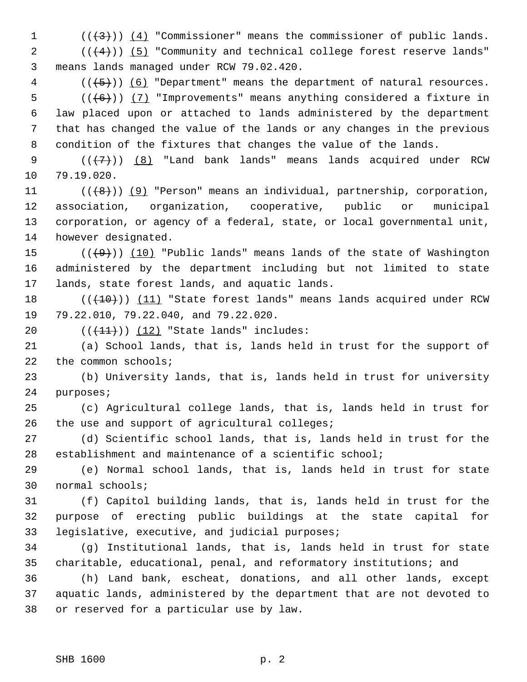1  $((+3))$   $(4)$  "Commissioner" means the commissioner of public lands.

 ( $(\frac{4}{4})$ ) (5) "Community and technical college forest reserve lands" means lands managed under RCW 79.02.420.

 (( $\left(\frac{5}{5}\right)$ ) (6) "Department" means the department of natural resources.  $((+6))$  (7) "Improvements" means anything considered a fixture in law placed upon or attached to lands administered by the department that has changed the value of the lands or any changes in the previous condition of the fixtures that changes the value of the lands.

9  $((\langle 7\rangle) )$  (8) "Land bank lands" means lands acquired under RCW 79.19.020.

 $((\lbrace 8 \rbrace))$  (9) "Person" means an individual, partnership, corporation, association, organization, cooperative, public or municipal corporation, or agency of a federal, state, or local governmental unit, however designated.

15  $((+9))$  (10) "Public lands" means lands of the state of Washington administered by the department including but not limited to state lands, state forest lands, and aquatic lands.

18 (( $(10)$ )) (11) "State forest lands" means lands acquired under RCW 79.22.010, 79.22.040, and 79.22.020.

20  $((+11))$   $(12)$  "State lands" includes:

 (a) School lands, that is, lands held in trust for the support of 22 the common schools;

 (b) University lands, that is, lands held in trust for university purposes;

 (c) Agricultural college lands, that is, lands held in trust for 26 the use and support of agricultural colleges;

 (d) Scientific school lands, that is, lands held in trust for the establishment and maintenance of a scientific school;

 (e) Normal school lands, that is, lands held in trust for state normal schools;

 (f) Capitol building lands, that is, lands held in trust for the purpose of erecting public buildings at the state capital for legislative, executive, and judicial purposes;

 (g) Institutional lands, that is, lands held in trust for state charitable, educational, penal, and reformatory institutions; and

 (h) Land bank, escheat, donations, and all other lands, except aquatic lands, administered by the department that are not devoted to or reserved for a particular use by law.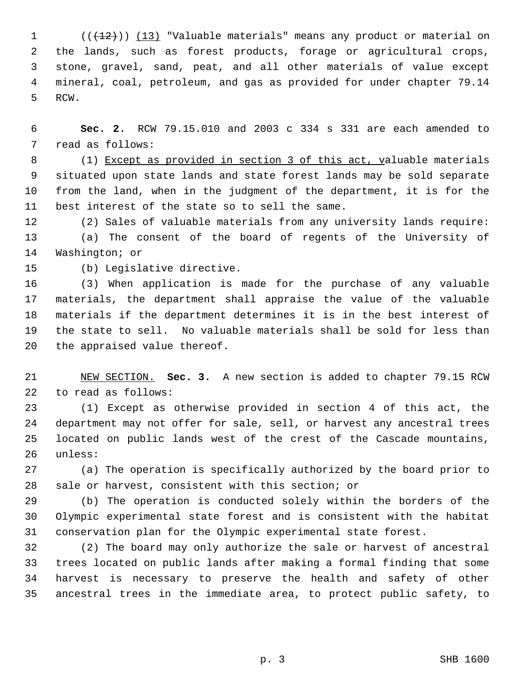$((+2)^n)$   $(13)$  "Valuable materials" means any product or material on the lands, such as forest products, forage or agricultural crops, stone, gravel, sand, peat, and all other materials of value except mineral, coal, petroleum, and gas as provided for under chapter 79.14 RCW.

 **Sec. 2.** RCW 79.15.010 and 2003 c 334 s 331 are each amended to read as follows:

8 (1) Except as provided in section 3 of this act, valuable materials situated upon state lands and state forest lands may be sold separate from the land, when in the judgment of the department, it is for the best interest of the state so to sell the same.

 (2) Sales of valuable materials from any university lands require: (a) The consent of the board of regents of the University of Washington; or

(b) Legislative directive.

 (3) When application is made for the purchase of any valuable materials, the department shall appraise the value of the valuable materials if the department determines it is in the best interest of the state to sell. No valuable materials shall be sold for less than the appraised value thereof.

 NEW SECTION. **Sec. 3.** A new section is added to chapter 79.15 RCW to read as follows:

 (1) Except as otherwise provided in section 4 of this act, the department may not offer for sale, sell, or harvest any ancestral trees located on public lands west of the crest of the Cascade mountains, unless:

 (a) The operation is specifically authorized by the board prior to sale or harvest, consistent with this section; or

 (b) The operation is conducted solely within the borders of the Olympic experimental state forest and is consistent with the habitat conservation plan for the Olympic experimental state forest.

 (2) The board may only authorize the sale or harvest of ancestral trees located on public lands after making a formal finding that some harvest is necessary to preserve the health and safety of other ancestral trees in the immediate area, to protect public safety, to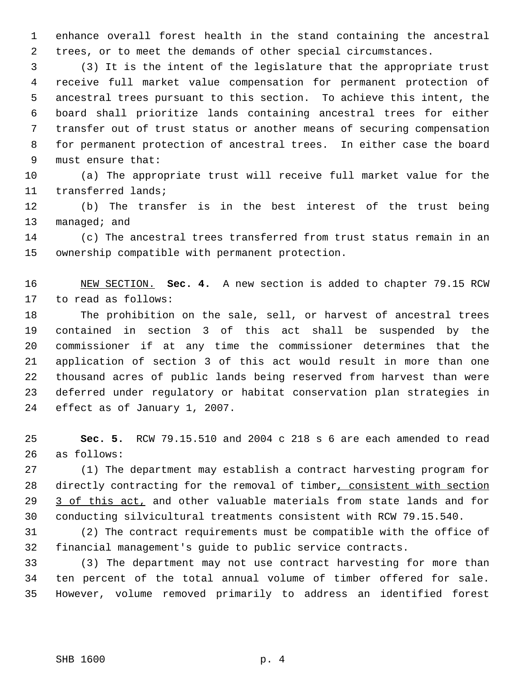enhance overall forest health in the stand containing the ancestral trees, or to meet the demands of other special circumstances.

 (3) It is the intent of the legislature that the appropriate trust receive full market value compensation for permanent protection of ancestral trees pursuant to this section. To achieve this intent, the board shall prioritize lands containing ancestral trees for either transfer out of trust status or another means of securing compensation for permanent protection of ancestral trees. In either case the board must ensure that:

 (a) The appropriate trust will receive full market value for the transferred lands;

 (b) The transfer is in the best interest of the trust being 13 managed; and

 (c) The ancestral trees transferred from trust status remain in an ownership compatible with permanent protection.

 NEW SECTION. **Sec. 4.** A new section is added to chapter 79.15 RCW to read as follows:

 The prohibition on the sale, sell, or harvest of ancestral trees contained in section 3 of this act shall be suspended by the commissioner if at any time the commissioner determines that the application of section 3 of this act would result in more than one thousand acres of public lands being reserved from harvest than were deferred under regulatory or habitat conservation plan strategies in effect as of January 1, 2007.

 **Sec. 5.** RCW 79.15.510 and 2004 c 218 s 6 are each amended to read as follows:

 (1) The department may establish a contract harvesting program for 28 directly contracting for the removal of timber, consistent with section 29 3 of this act, and other valuable materials from state lands and for conducting silvicultural treatments consistent with RCW 79.15.540.

 (2) The contract requirements must be compatible with the office of financial management's guide to public service contracts.

 (3) The department may not use contract harvesting for more than ten percent of the total annual volume of timber offered for sale. However, volume removed primarily to address an identified forest